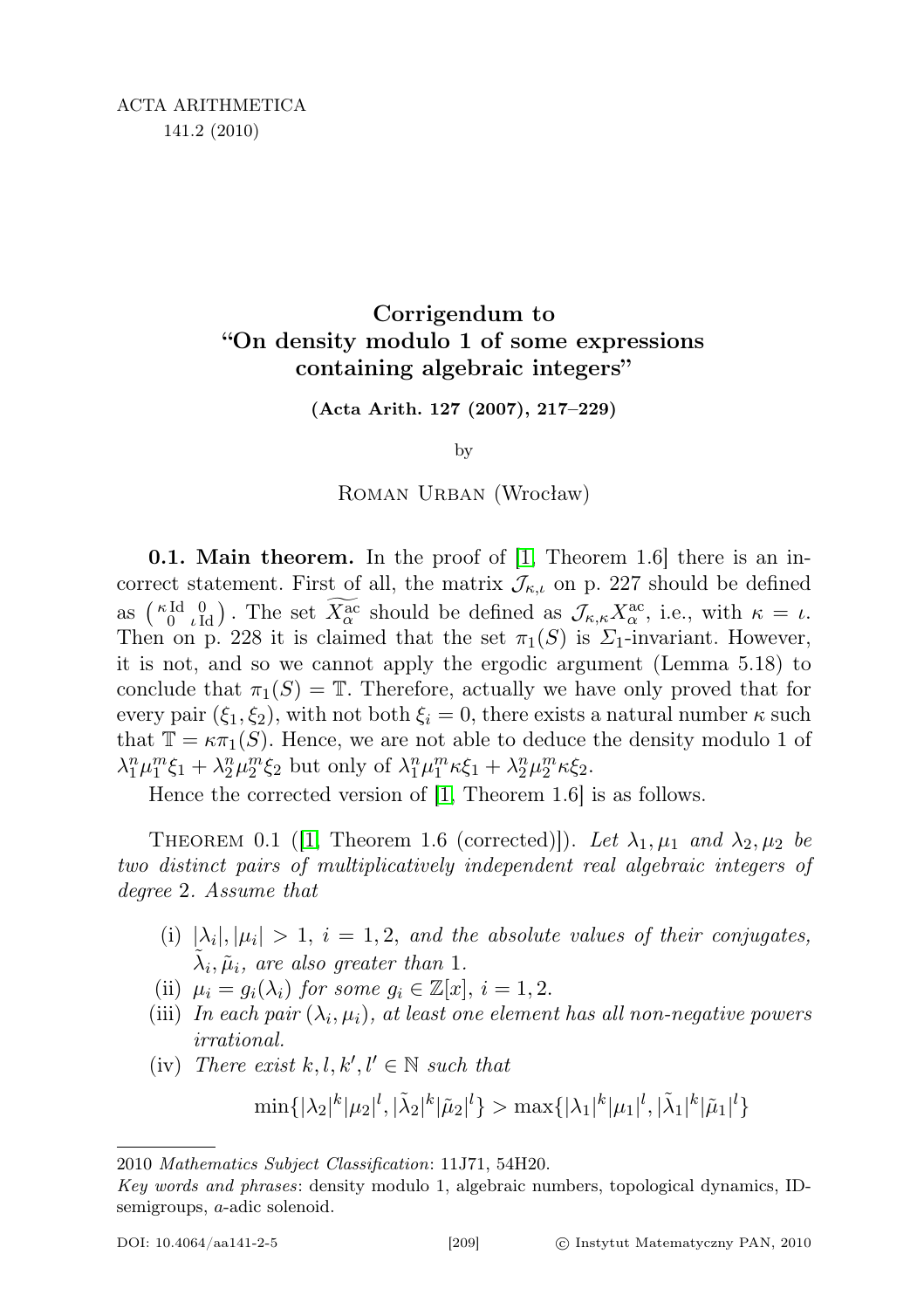## Corrigendum to "On density modulo 1 of some expressions containing algebraic integers"

(Acta Arith. 127 (2007), 217–229)

by

ROMAN URBAN (Wrocław)

**0.1. Main theorem.** In the proof of [\[1,](#page-1-0) Theorem 1.6] there is an incorrect statement. First of all, the matrix  $\mathcal{J}_{\kappa,\iota}$  on p. 227 should be defined as  $\binom{\kappa \mathrm{Id}}{0}$ , The set  $\overline{X^{\mathrm{ac}}_{\alpha}}$  should be defined as  $\mathcal{J}_{\kappa,\kappa}X^{\mathrm{ac}}_{\alpha}$ , i.e., with  $\kappa = \iota$ . Then on p. 228 it is claimed that the set  $\pi_1(S)$  is  $\Sigma_1$ -invariant. However, it is not, and so we cannot apply the ergodic argument (Lemma 5.18) to conclude that  $\pi_1(S) = \mathbb{T}$ . Therefore, actually we have only proved that for every pair  $(\xi_1, \xi_2)$ , with not both  $\xi_i = 0$ , there exists a natural number  $\kappa$  such that  $\mathbb{T} = \kappa \pi_1(S)$ . Hence, we are not able to deduce the density modulo 1 of  $\lambda_1^n \mu_1^m \xi_1 + \lambda_2^n \mu_2^m \xi_2$  but only of  $\lambda_1^n \mu_1^m \kappa \xi_1 + \lambda_2^n \mu_2^m \kappa \xi_2$ .

Hence the corrected version of [\[1,](#page-1-0) Theorem 1.6] is as follows.

THEOREM 0.1 (1, Theorem 1.6 (corrected)]). Let  $\lambda_1, \mu_1$  and  $\lambda_2, \mu_2$  be two distinct pairs of multiplicatively independent real algebraic integers of degree 2. Assume that

- (i)  $|\lambda_i|, |\mu_i| > 1$ ,  $i = 1, 2$ , and the absolute values of their conjugates,  $\tilde{\lambda}_i, \tilde{\mu}_i$ , are also greater than 1.
- (ii)  $\mu_i = g_i(\lambda_i)$  for some  $g_i \in \mathbb{Z}[x], i = 1, 2$ .
- (iii) In each pair  $(\lambda_i, \mu_i)$ , at least one element has all non-negative powers irrational.
- (iv) There exist  $k, l, k', l' \in \mathbb{N}$  such that

$$
\min\{|\lambda_2|^k|\mu_2|^l,|\tilde{\lambda}_2|^k|\tilde{\mu}_2|^l\} > \max\{|\lambda_1|^k|\mu_1|^l,|\tilde{\lambda}_1|^k|\tilde{\mu}_1|^l\}
$$

<sup>2010</sup> Mathematics Subject Classification: 11J71, 54H20.

Key words and phrases: density modulo 1, algebraic numbers, topological dynamics, IDsemigroups, a-adic solenoid.